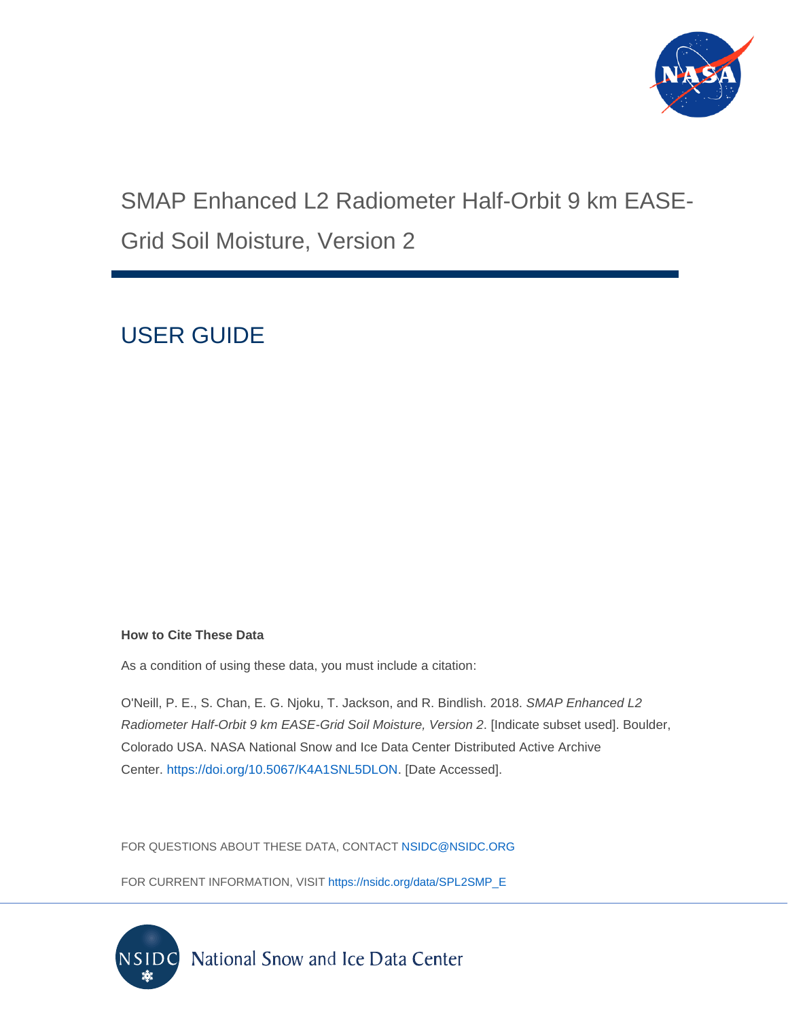

# SMAP Enhanced L2 Radiometer Half-Orbit 9 km EASE-Grid Soil Moisture, Version 2

# USER GUIDE

#### **How to Cite These Data**

As a condition of using these data, you must include a citation:

O'Neill, P. E., S. Chan, E. G. Njoku, T. Jackson, and R. Bindlish. 2018. *SMAP Enhanced L2 Radiometer Half-Orbit 9 km EASE-Grid Soil Moisture, Version 2*. [Indicate subset used]. Boulder, Colorado USA. NASA National Snow and Ice Data Center Distributed Active Archive Center. [https://doi.org/10.5067/K4A1SNL5DLON.](https://doi.org/10.5067/K4A1SNL5DLON) [Date Accessed].

FOR QUESTIONS ABOUT THESE DATA, CONTACT [NSIDC@NSIDC.ORG](mailto:nsidc@nsidc.org)

FOR CURRENT INFORMATION, VISIT [https://nsidc.org/data/SPL2SMP\\_E](https://nsidc.org/data/SPL2SMP_E)

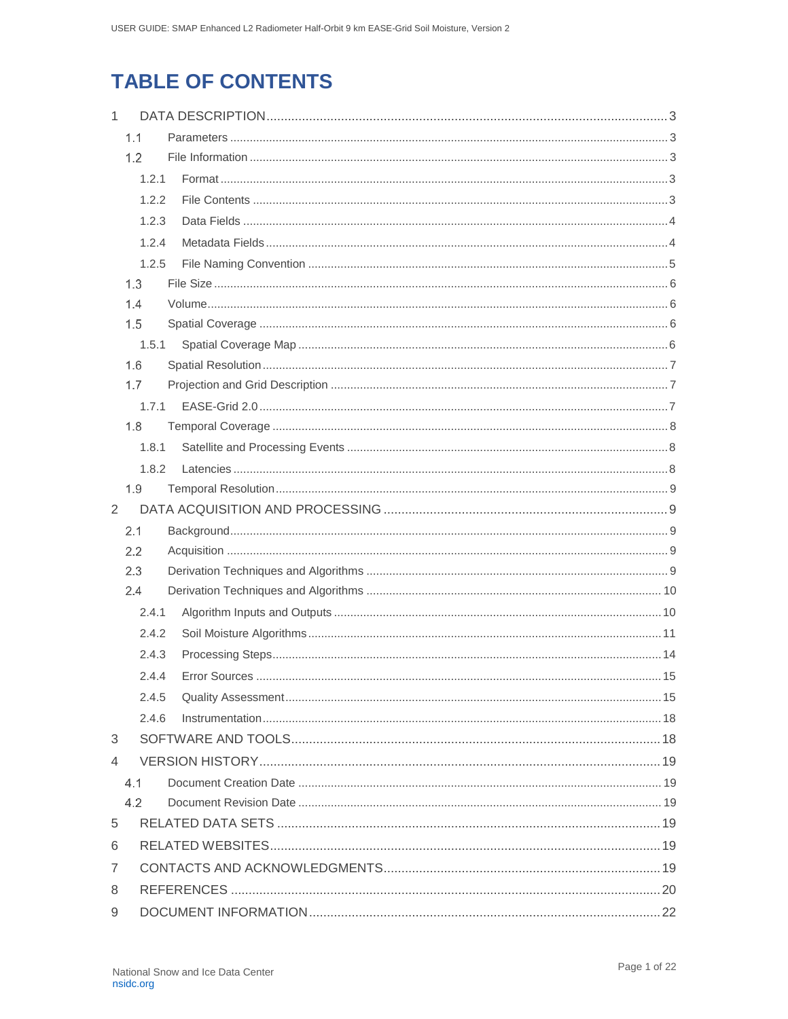# **TABLE OF CONTENTS**

| $\mathbf{1}$ |               |  |
|--------------|---------------|--|
|              | 1.1           |  |
|              | 1.2           |  |
|              | 1.2.1         |  |
|              | 1.2.2         |  |
|              | 1.2.3         |  |
|              | 1.2.4         |  |
|              | 1.2.5         |  |
|              | 1.3           |  |
|              | 1.4           |  |
|              | 1.5           |  |
|              | 1.5.1         |  |
|              | 1.6           |  |
|              | 1.7           |  |
|              | 1.7.1         |  |
|              | 1.8           |  |
|              | 1.8.1         |  |
|              | 1.8.2         |  |
|              | 1.9           |  |
| 2            |               |  |
|              | 2.1           |  |
|              | $2.2^{\circ}$ |  |
|              | 2.3           |  |
|              | 2.4           |  |
|              | 2.4.1         |  |
|              | 2.4.2         |  |
|              | 2.4.3         |  |
|              | 2.4.4         |  |
|              | 2.4.5         |  |
|              | 2.4.6         |  |
| 3            |               |  |
| 4            |               |  |
|              | 4.1           |  |
|              | 4.2           |  |
|              |               |  |
| 5            |               |  |
| 6            |               |  |
| 7            |               |  |
| 8            |               |  |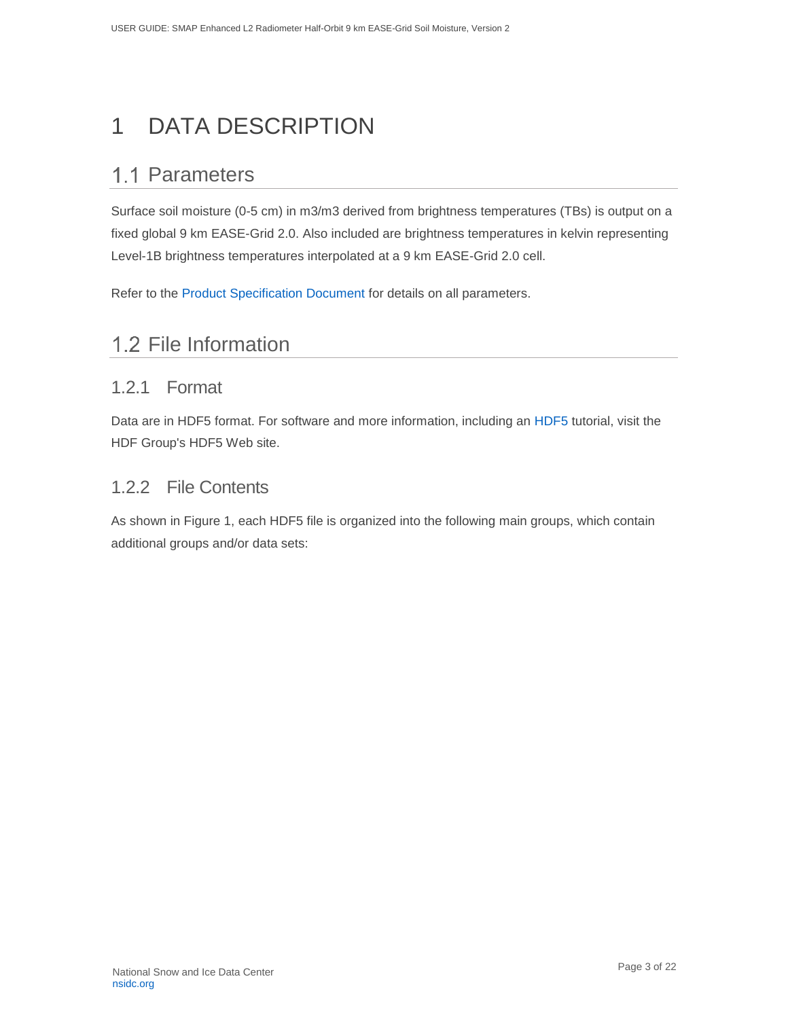# <span id="page-3-0"></span>1 DATA DESCRIPTION

# <span id="page-3-1"></span>1.1 Parameters

Surface soil moisture (0-5 cm) in m3/m3 derived from brightness temperatures (TBs) is output on a fixed global 9 km EASE-Grid 2.0. Also included are brightness temperatures in kelvin representing Level-1B brightness temperatures interpolated at a 9 km EASE-Grid 2.0 cell.

Refer to the [Product Specification Document](Surface%20soil%20moisture%20(0-5%20cm)%20in%20m3/m3%20derived%20from%20brightness%20temperatures%20(TBs)%20is%20output%20on%20a%20fixed%20global%209%20km%20EASE-Grid%202.0.%20Also%20included%20are%20brightness%20temperatures%20in%20kelvin%20representing%20Level-1B%20brightness%20temperatures%20interpolated%20at%20a%209%20km%20EASE-Grid%202.0%20cell.) for details on all parameters.

# <span id="page-3-2"></span>1.2 File Information

### <span id="page-3-3"></span>1.2.1 Format

Data are in HDF5 format. For software and more information, including an [HDF5](http://www.hdfgroup.org/HDF5/) tutorial, visit the HDF Group's HDF5 Web site.

### <span id="page-3-4"></span>1.2.2 File Contents

As shown in Figure 1, each HDF5 file is organized into the following main groups, which contain additional groups and/or data sets: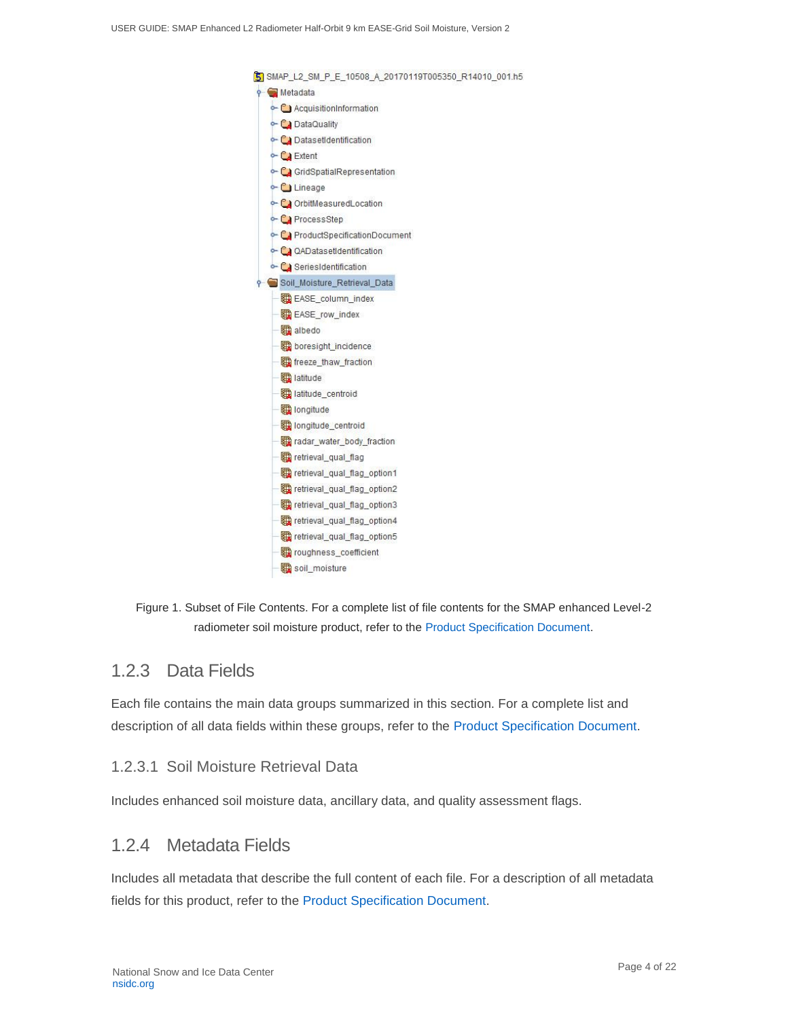

Figure 1. Subset of File Contents. For a complete list of file contents for the SMAP enhanced Level-2 radiometer soil moisture product, refer to the [Product Specification Document.](https://nsidc.org/sites/nsidc.org/files/technical-references/D56291%20SMAP%20L2_SM_P_E%20PSD%20Version%201.pdf)

### <span id="page-4-0"></span>1.2.3 Data Fields

Each file contains the main data groups summarized in this section. For a complete list and description of all data fields within these groups, refer to the [Product Specification Document.](https://nsidc.org/sites/nsidc.org/files/technical-references/D56291%20SMAP%20L2_SM_P_E%20PSD%20Version%201.pdf)

#### 1.2.3.1 Soil Moisture Retrieval Data

Includes enhanced soil moisture data, ancillary data, and quality assessment flags.

### <span id="page-4-1"></span>1.2.4 Metadata Fields

Includes all metadata that describe the full content of each file. For a description of all metadata fields for this product, refer to the [Product Specification Document.](https://nsidc.org/sites/nsidc.org/files/technical-references/D56291%20SMAP%20L2_SM_P_E%20PSD%20Version%201.pdf)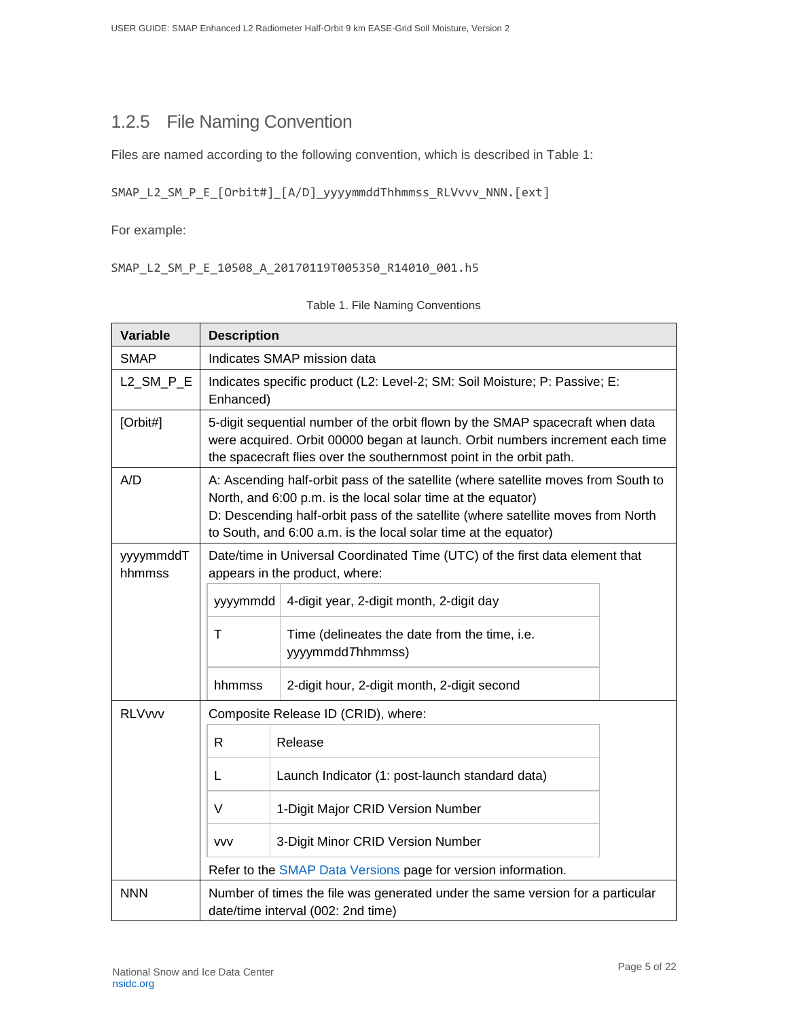## <span id="page-5-0"></span>1.2.5 File Naming Convention

Files are named according to the following convention, which is described in Table 1:

```
SMAP_L2_SM_P_E_[Orbit#]_[A/D]_yyyymmddThhmmss_RLVvvv_NNN.[ext]
```
For example:

SMAP\_L2\_SM\_P\_E\_10508\_A\_20170119T005350\_R14010\_001.h5

| <b>Variable</b>                                                                                                                    | <b>Description</b>                                                                      |                                                                                                                                                                                                                                                                                                           |  |
|------------------------------------------------------------------------------------------------------------------------------------|-----------------------------------------------------------------------------------------|-----------------------------------------------------------------------------------------------------------------------------------------------------------------------------------------------------------------------------------------------------------------------------------------------------------|--|
| <b>SMAP</b>                                                                                                                        | Indicates SMAP mission data                                                             |                                                                                                                                                                                                                                                                                                           |  |
| L2_SM_P_E                                                                                                                          | Indicates specific product (L2: Level-2; SM: Soil Moisture; P: Passive; E:<br>Enhanced) |                                                                                                                                                                                                                                                                                                           |  |
| [Orbit#]                                                                                                                           |                                                                                         | 5-digit sequential number of the orbit flown by the SMAP spacecraft when data<br>were acquired. Orbit 00000 began at launch. Orbit numbers increment each time<br>the spacecraft flies over the southernmost point in the orbit path.                                                                     |  |
| A/D                                                                                                                                |                                                                                         | A: Ascending half-orbit pass of the satellite (where satellite moves from South to<br>North, and 6:00 p.m. is the local solar time at the equator)<br>D: Descending half-orbit pass of the satellite (where satellite moves from North<br>to South, and 6:00 a.m. is the local solar time at the equator) |  |
| yyyymmddT<br>hhmmss                                                                                                                |                                                                                         | Date/time in Universal Coordinated Time (UTC) of the first data element that<br>appears in the product, where:                                                                                                                                                                                            |  |
|                                                                                                                                    | yyymmdd                                                                                 | 4-digit year, 2-digit month, 2-digit day                                                                                                                                                                                                                                                                  |  |
|                                                                                                                                    | T                                                                                       | Time (delineates the date from the time, i.e.<br>yyyymmdd Thhmmss)                                                                                                                                                                                                                                        |  |
|                                                                                                                                    | hhmmss                                                                                  | 2-digit hour, 2-digit month, 2-digit second                                                                                                                                                                                                                                                               |  |
| <b>RLVvvv</b>                                                                                                                      |                                                                                         | Composite Release ID (CRID), where:                                                                                                                                                                                                                                                                       |  |
|                                                                                                                                    | $\mathsf{R}$                                                                            | Release                                                                                                                                                                                                                                                                                                   |  |
|                                                                                                                                    | L                                                                                       | Launch Indicator (1: post-launch standard data)                                                                                                                                                                                                                                                           |  |
|                                                                                                                                    | V                                                                                       | 1-Digit Major CRID Version Number                                                                                                                                                                                                                                                                         |  |
|                                                                                                                                    | <b>VVV</b>                                                                              | 3-Digit Minor CRID Version Number                                                                                                                                                                                                                                                                         |  |
|                                                                                                                                    |                                                                                         | Refer to the SMAP Data Versions page for version information.                                                                                                                                                                                                                                             |  |
| <b>NNN</b><br>Number of times the file was generated under the same version for a particular<br>date/time interval (002: 2nd time) |                                                                                         |                                                                                                                                                                                                                                                                                                           |  |

Table 1. File Naming Conventions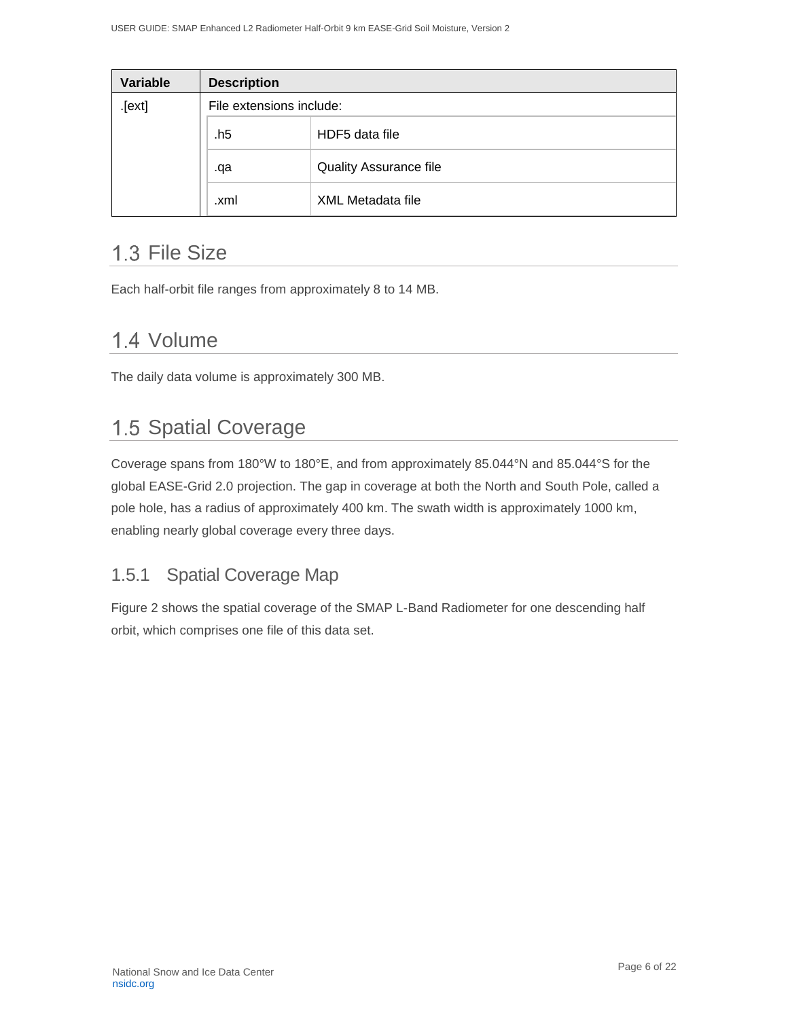| Variable | <b>Description</b>       |                               |  |
|----------|--------------------------|-------------------------------|--|
| [ext]    | File extensions include: |                               |  |
|          | .h5                      | HDF5 data file                |  |
|          | .qa                      | <b>Quality Assurance file</b> |  |
|          | .xml                     | <b>XML Metadata file</b>      |  |

## <span id="page-6-0"></span>1.3 File Size

Each half-orbit file ranges from approximately 8 to 14 MB.

## <span id="page-6-1"></span>1.4 Volume

The daily data volume is approximately 300 MB.

## <span id="page-6-2"></span>1.5 Spatial Coverage

Coverage spans from 180°W to 180°E, and from approximately 85.044°N and 85.044°S for the global EASE-Grid 2.0 projection. The gap in coverage at both the North and South Pole, called a pole hole, has a radius of approximately 400 km. The swath width is approximately 1000 km, enabling nearly global coverage every three days.

### <span id="page-6-3"></span>1.5.1 Spatial Coverage Map

Figure 2 shows the spatial coverage of the SMAP L-Band Radiometer for one descending half orbit, which comprises one file of this data set.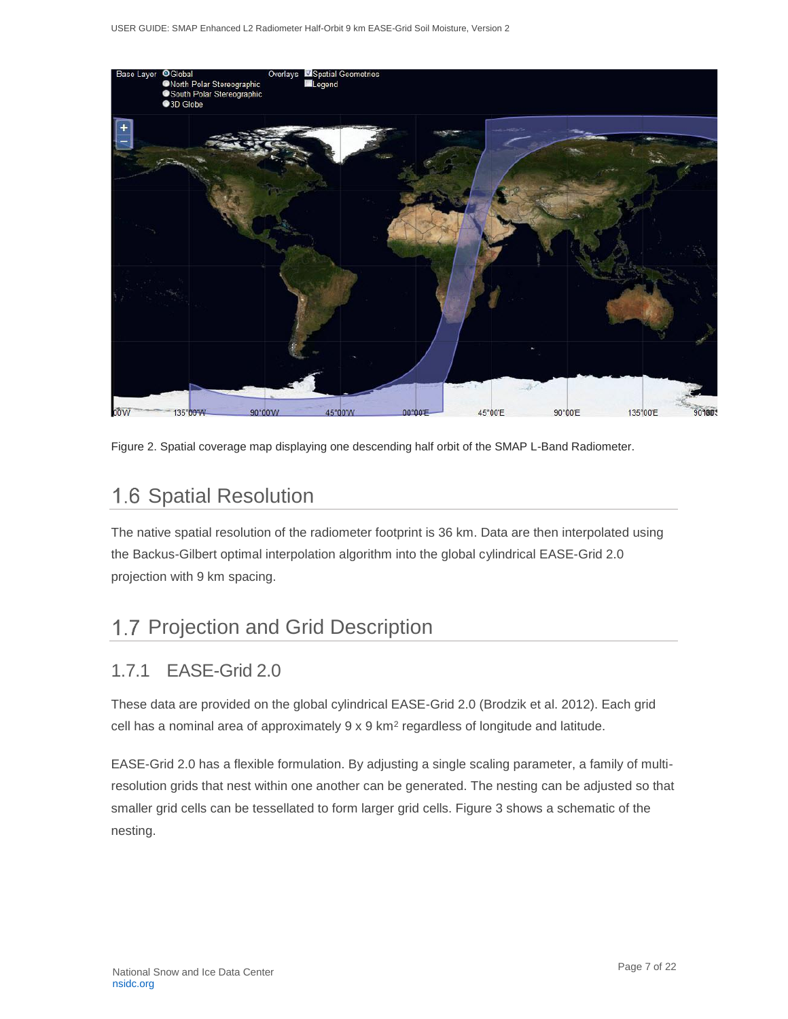

Figure 2. Spatial coverage map displaying one descending half orbit of the SMAP L-Band Radiometer.

# <span id="page-7-0"></span>1.6 Spatial Resolution

The native spatial resolution of the radiometer footprint is 36 km. Data are then interpolated using the Backus-Gilbert optimal interpolation algorithm into the global cylindrical EASE-Grid 2.0 projection with 9 km spacing.

# <span id="page-7-1"></span>1.7 Projection and Grid Description

### <span id="page-7-2"></span>1.7.1 EASE-Grid 2.0

These data are provided on the global cylindrical EASE-Grid 2.0 (Brodzik et al. 2012). Each grid cell has a nominal area of approximately  $9 \times 9$  km<sup>2</sup> regardless of longitude and latitude.

EASE-Grid 2.0 has a flexible formulation. By adjusting a single scaling parameter, a family of multiresolution grids that nest within one another can be generated. The nesting can be adjusted so that smaller grid cells can be tessellated to form larger grid cells. Figure 3 shows a schematic of the nesting.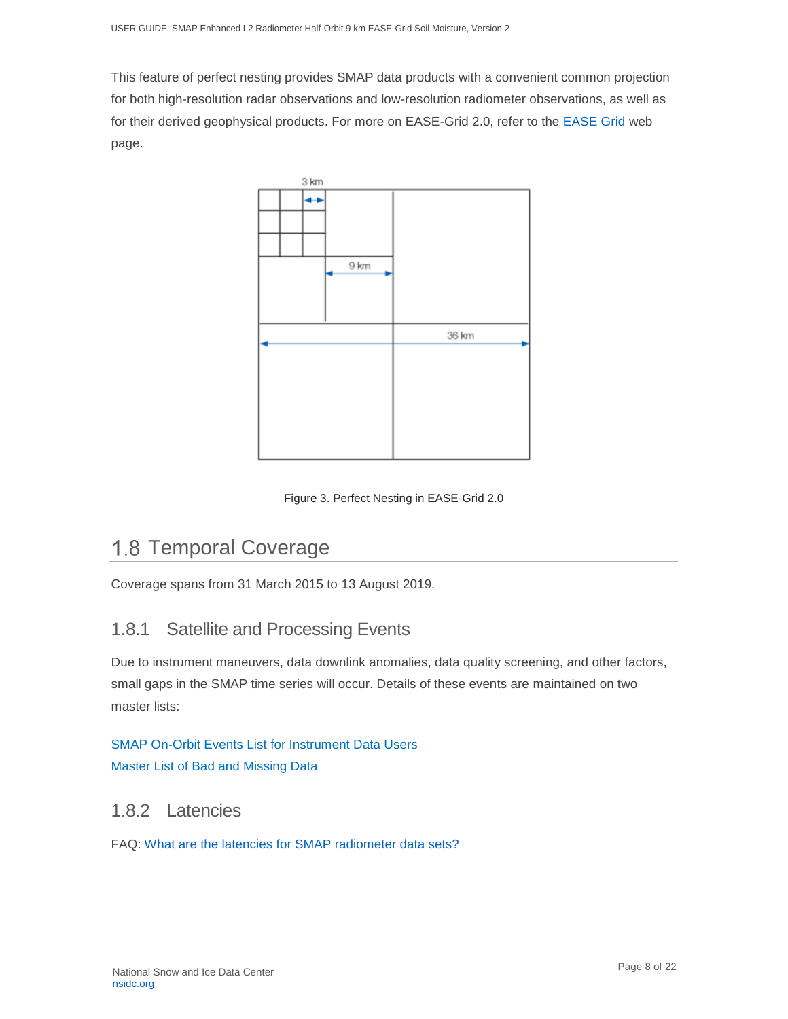This feature of perfect nesting provides SMAP data products with a convenient common projection for both high-resolution radar observations and low-resolution radiometer observations, as well as for their derived geophysical products. For more on EASE-Grid 2.0, refer to the [EASE Grid](https://nsidc.org/data/ease) web page.



Figure 3. Perfect Nesting in EASE-Grid 2.0

# <span id="page-8-0"></span>1.8 Temporal Coverage

Coverage spans from 31 March 2015 to 13 August 2019.

### <span id="page-8-1"></span>1.8.1 Satellite and Processing Events

Due to instrument maneuvers, data downlink anomalies, data quality screening, and other factors, small gaps in the SMAP time series will occur. Details of these events are maintained on two master lists:

### [SMAP On-Orbit Events List for Instrument Data Users](https://smap.jpl.nasa.gov/user-products/master-events/?_ga=2.183213795.451976197.1604427624-1178120269.1525111477) [Master List of Bad and Missing Data](https://smap.jpl.nasa.gov/user-products/bad-missing-data/)

### <span id="page-8-2"></span>1.8.2 Latencies

FAQ: [What are the latencies for SMAP radiometer data sets?](http://nsidc.org/support/99091147-What-are-the-latencies-for-SMAP-radiometer-data-sets-)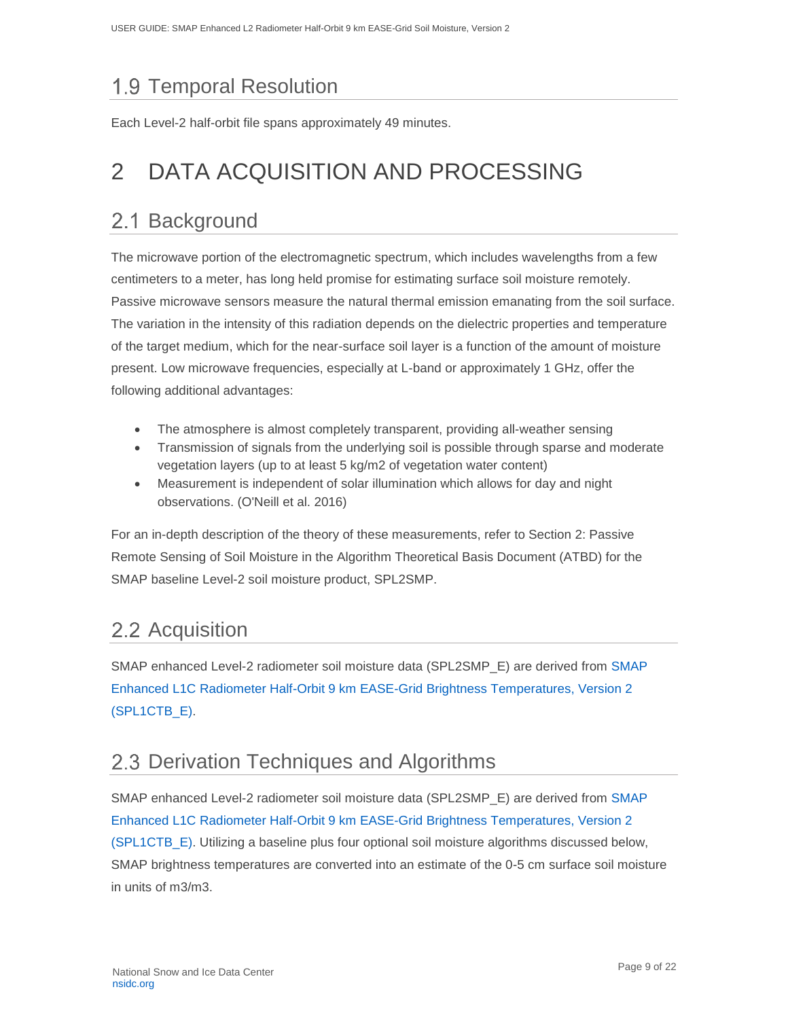# <span id="page-9-0"></span>1.9 Temporal Resolution

Each Level-2 half-orbit file spans approximately 49 minutes.

# <span id="page-9-1"></span>2 DATA ACQUISITION AND PROCESSING

# <span id="page-9-2"></span>2.1 Background

The microwave portion of the electromagnetic spectrum, which includes wavelengths from a few centimeters to a meter, has long held promise for estimating surface soil moisture remotely. Passive microwave sensors measure the natural thermal emission emanating from the soil surface. The variation in the intensity of this radiation depends on the dielectric properties and temperature of the target medium, which for the near-surface soil layer is a function of the amount of moisture present. Low microwave frequencies, especially at L-band or approximately 1 GHz, offer the following additional advantages:

- The atmosphere is almost completely transparent, providing all-weather sensing
- Transmission of signals from the underlying soil is possible through sparse and moderate vegetation layers (up to at least 5 kg/m2 of vegetation water content)
- Measurement is independent of solar illumination which allows for day and night observations. (O'Neill et al. 2016)

For an in-depth description of the theory of these measurements, refer to Section 2: Passive Remote Sensing of Soil Moisture in the Algorithm Theoretical Basis Document (ATBD) for the SMAP baseline Level-2 soil moisture product, SPL2SMP.

# <span id="page-9-3"></span>2.2 Acquisition

SMAP enhanced Level-2 radiometer soil moisture data (SPL2SMP\_E) are derived from [SMAP](http://nsidc.org/data/spl1ctb_e/versions/2/)  [Enhanced L1C Radiometer Half-Orbit 9 km EASE-Grid Brightness Temperatures, Version 2](http://nsidc.org/data/spl1ctb_e/versions/2/)  [\(SPL1CTB\\_E\).](http://nsidc.org/data/spl1ctb_e/versions/2/)

## <span id="page-9-4"></span>2.3 Derivation Techniques and Algorithms

SMAP enhanced Level-2 radiometer soil moisture data (SPL2SMP\_E) are derived from [SMAP](http://nsidc.org/data/spl1ctb_e/versions/2/)  [Enhanced L1C Radiometer Half-Orbit 9 km EASE-Grid Brightness Temperatures, Version 2](http://nsidc.org/data/spl1ctb_e/versions/2/)  [\(SPL1CTB\\_E\).](http://nsidc.org/data/spl1ctb_e/versions/2/) Utilizing a baseline plus four optional soil moisture algorithms discussed below, SMAP brightness temperatures are converted into an estimate of the 0-5 cm surface soil moisture in units of m3/m3.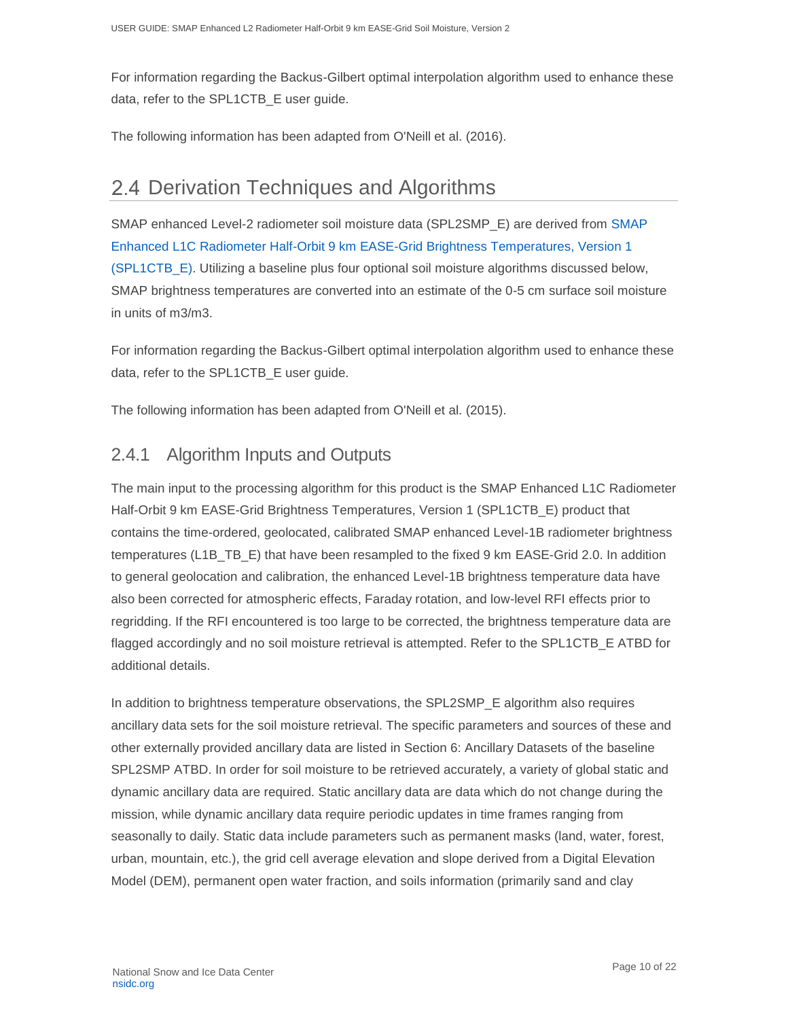For information regarding the Backus-Gilbert optimal interpolation algorithm used to enhance these data, refer to the SPL1CTB\_E user guide.

The following information has been adapted from O'Neill et al. (2016).

## <span id="page-10-0"></span>2.4 Derivation Techniques and Algorithms

SMAP enhanced Level-2 radiometer soil moisture data (SPL2SMP\_E) are derived from [SMAP](http://nsidc.org/data/spl1ctb_e/versions/2/)  [Enhanced L1C Radiometer Half-Orbit 9 km EASE-Grid Brightness Temperatures, Version 1](http://nsidc.org/data/spl1ctb_e/versions/2/)  [\(SPL1CTB\\_E\).](http://nsidc.org/data/spl1ctb_e/versions/2/) Utilizing a baseline plus four optional soil moisture algorithms discussed below, SMAP brightness temperatures are converted into an estimate of the 0-5 cm surface soil moisture in units of m3/m3.

For information regarding the Backus-Gilbert optimal interpolation algorithm used to enhance these data, refer to the SPL1CTB E user guide.

The following information has been adapted from O'Neill et al. (2015).

### <span id="page-10-1"></span>2.4.1 Algorithm Inputs and Outputs

The main input to the processing algorithm for this product is the SMAP Enhanced L1C Radiometer Half-Orbit 9 km EASE-Grid Brightness Temperatures, Version 1 (SPL1CTB\_E) product that contains the time-ordered, geolocated, calibrated SMAP enhanced Level-1B radiometer brightness temperatures (L1B\_TB\_E) that have been resampled to the fixed 9 km EASE-Grid 2.0. In addition to general geolocation and calibration, the enhanced Level-1B brightness temperature data have also been corrected for atmospheric effects, Faraday rotation, and low-level RFI effects prior to regridding. If the RFI encountered is too large to be corrected, the brightness temperature data are flagged accordingly and no soil moisture retrieval is attempted. Refer to the SPL1CTB\_E ATBD for additional details.

In addition to brightness temperature observations, the SPL2SMP\_E algorithm also requires ancillary data sets for the soil moisture retrieval. The specific parameters and sources of these and other externally provided ancillary data are listed in Section 6: Ancillary Datasets of the baseline SPL2SMP ATBD. In order for soil moisture to be retrieved accurately, a variety of global static and dynamic ancillary data are required. Static ancillary data are data which do not change during the mission, while dynamic ancillary data require periodic updates in time frames ranging from seasonally to daily. Static data include parameters such as permanent masks (land, water, forest, urban, mountain, etc.), the grid cell average elevation and slope derived from a Digital Elevation Model (DEM), permanent open water fraction, and soils information (primarily sand and clay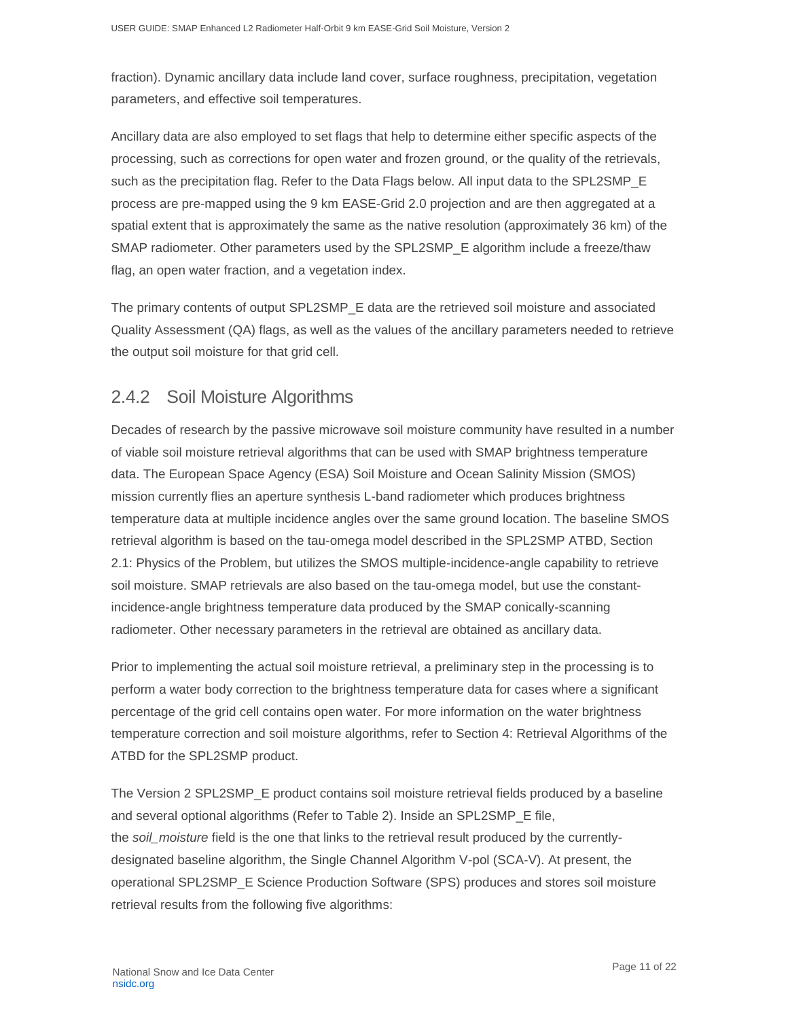fraction). Dynamic ancillary data include land cover, surface roughness, precipitation, vegetation parameters, and effective soil temperatures.

Ancillary data are also employed to set flags that help to determine either specific aspects of the processing, such as corrections for open water and frozen ground, or the quality of the retrievals, such as the precipitation flag. Refer to the Data Flags below. All input data to the SPL2SMP\_E process are pre-mapped using the 9 km EASE-Grid 2.0 projection and are then aggregated at a spatial extent that is approximately the same as the native resolution (approximately 36 km) of the SMAP radiometer. Other parameters used by the SPL2SMP\_E algorithm include a freeze/thaw flag, an open water fraction, and a vegetation index.

The primary contents of output SPL2SMP\_E data are the retrieved soil moisture and associated Quality Assessment (QA) flags, as well as the values of the ancillary parameters needed to retrieve the output soil moisture for that grid cell.

### <span id="page-11-0"></span>2.4.2 Soil Moisture Algorithms

Decades of research by the passive microwave soil moisture community have resulted in a number of viable soil moisture retrieval algorithms that can be used with SMAP brightness temperature data. The European Space Agency (ESA) Soil Moisture and Ocean Salinity Mission (SMOS) mission currently flies an aperture synthesis L-band radiometer which produces brightness temperature data at multiple incidence angles over the same ground location. The baseline SMOS retrieval algorithm is based on the tau-omega model described in the SPL2SMP ATBD, Section 2.1: Physics of the Problem, but utilizes the SMOS multiple-incidence-angle capability to retrieve soil moisture. SMAP retrievals are also based on the tau-omega model, but use the constantincidence-angle brightness temperature data produced by the SMAP conically-scanning radiometer. Other necessary parameters in the retrieval are obtained as ancillary data.

Prior to implementing the actual soil moisture retrieval, a preliminary step in the processing is to perform a water body correction to the brightness temperature data for cases where a significant percentage of the grid cell contains open water. For more information on the water brightness temperature correction and soil moisture algorithms, refer to Section 4: Retrieval Algorithms of the ATBD for the SPL2SMP product.

The Version 2 SPL2SMP\_E product contains soil moisture retrieval fields produced by a baseline and several optional algorithms (Refer to Table 2). Inside an SPL2SMP\_E file, the *soil\_moisture* field is the one that links to the retrieval result produced by the currentlydesignated baseline algorithm, the Single Channel Algorithm V-pol (SCA-V). At present, the operational SPL2SMP\_E Science Production Software (SPS) produces and stores soil moisture retrieval results from the following five algorithms: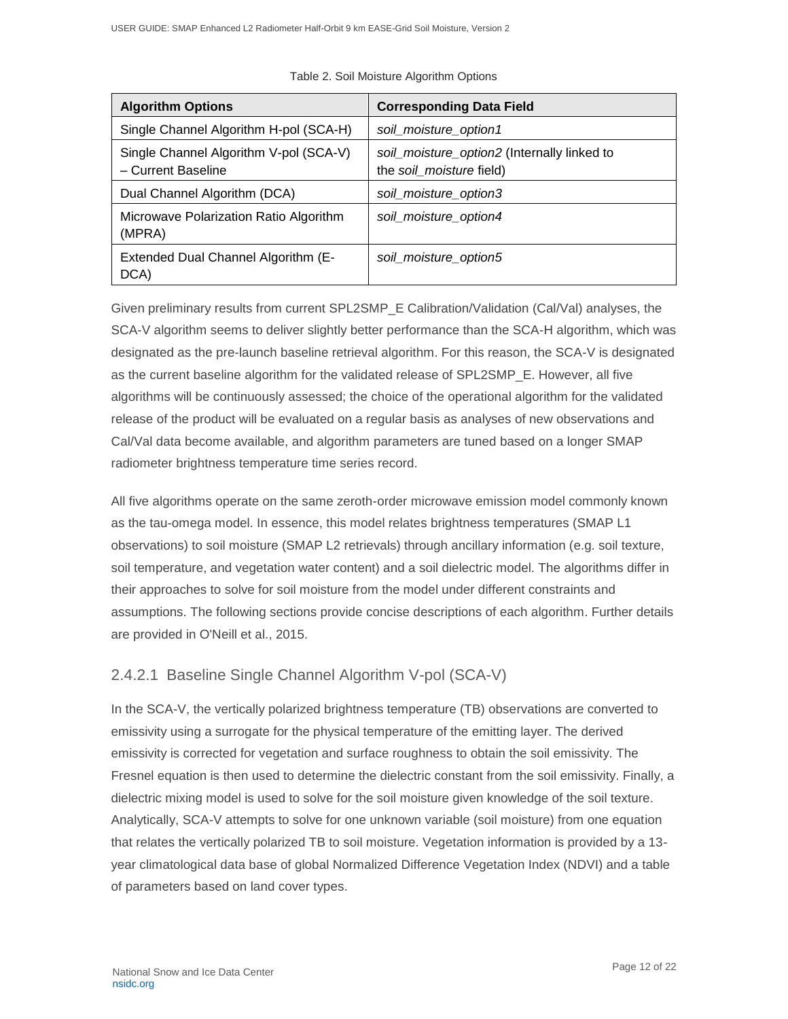| <b>Algorithm Options</b>                                     | <b>Corresponding Data Field</b>                                         |
|--------------------------------------------------------------|-------------------------------------------------------------------------|
| Single Channel Algorithm H-pol (SCA-H)                       | soil_moisture_option1                                                   |
| Single Channel Algorithm V-pol (SCA-V)<br>- Current Baseline | soil_moisture_option2 (Internally linked to<br>the soil moisture field) |
| Dual Channel Algorithm (DCA)                                 | soil_moisture_option3                                                   |
| Microwave Polarization Ratio Algorithm<br>(MPRA)             | soil_moisture_option4                                                   |
| Extended Dual Channel Algorithm (E-<br>DCA)                  | soil_moisture_option5                                                   |

Table 2. Soil Moisture Algorithm Options

Given preliminary results from current SPL2SMP\_E Calibration/Validation (Cal/Val) analyses, the SCA-V algorithm seems to deliver slightly better performance than the SCA-H algorithm, which was designated as the pre-launch baseline retrieval algorithm. For this reason, the SCA-V is designated as the current baseline algorithm for the validated release of SPL2SMP\_E. However, all five algorithms will be continuously assessed; the choice of the operational algorithm for the validated release of the product will be evaluated on a regular basis as analyses of new observations and Cal/Val data become available, and algorithm parameters are tuned based on a longer SMAP radiometer brightness temperature time series record.

All five algorithms operate on the same zeroth-order microwave emission model commonly known as the tau-omega model. In essence, this model relates brightness temperatures (SMAP L1 observations) to soil moisture (SMAP L2 retrievals) through ancillary information (e.g. soil texture, soil temperature, and vegetation water content) and a soil dielectric model. The algorithms differ in their approaches to solve for soil moisture from the model under different constraints and assumptions. The following sections provide concise descriptions of each algorithm. Further details are provided in O'Neill et al., 2015.

#### 2.4.2.1 Baseline Single Channel Algorithm V-pol (SCA-V)

In the SCA-V, the vertically polarized brightness temperature (TB) observations are converted to emissivity using a surrogate for the physical temperature of the emitting layer. The derived emissivity is corrected for vegetation and surface roughness to obtain the soil emissivity. The Fresnel equation is then used to determine the dielectric constant from the soil emissivity. Finally, a dielectric mixing model is used to solve for the soil moisture given knowledge of the soil texture. Analytically, SCA-V attempts to solve for one unknown variable (soil moisture) from one equation that relates the vertically polarized TB to soil moisture. Vegetation information is provided by a 13 year climatological data base of global Normalized Difference Vegetation Index (NDVI) and a table of parameters based on land cover types.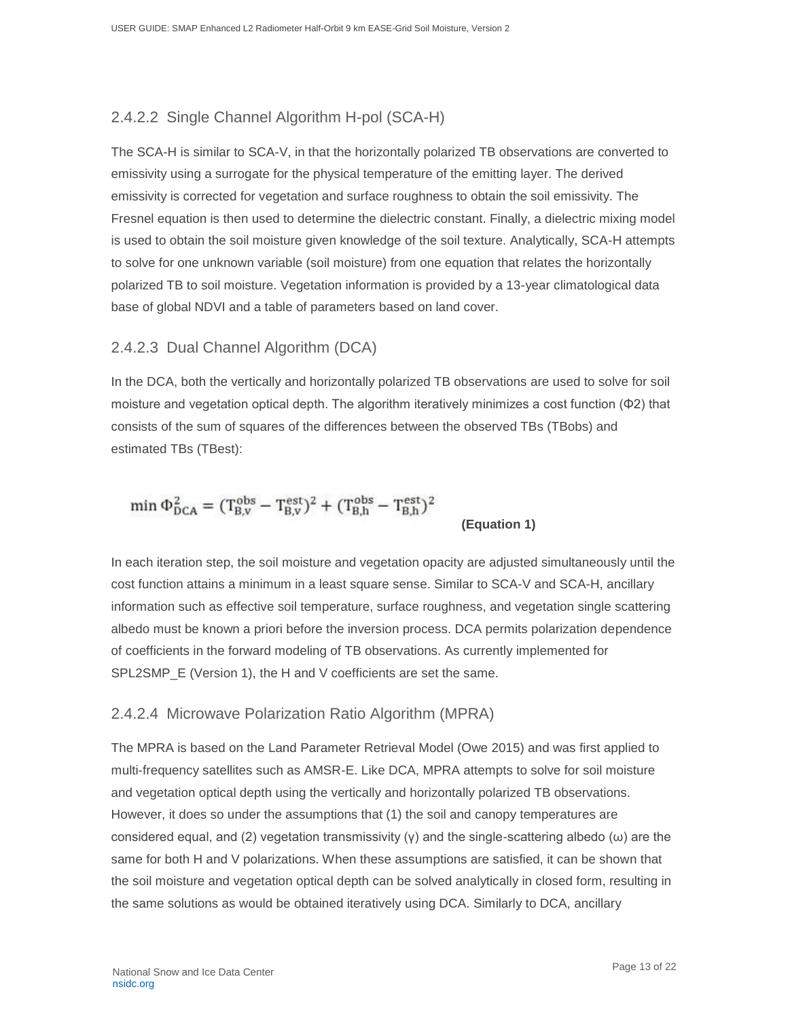### 2.4.2.2 Single Channel Algorithm H-pol (SCA-H)

The SCA-H is similar to SCA-V, in that the horizontally polarized TB observations are converted to emissivity using a surrogate for the physical temperature of the emitting layer. The derived emissivity is corrected for vegetation and surface roughness to obtain the soil emissivity. The Fresnel equation is then used to determine the dielectric constant. Finally, a dielectric mixing model is used to obtain the soil moisture given knowledge of the soil texture. Analytically, SCA-H attempts to solve for one unknown variable (soil moisture) from one equation that relates the horizontally polarized TB to soil moisture. Vegetation information is provided by a 13-year climatological data base of global NDVI and a table of parameters based on land cover.

#### 2.4.2.3 Dual Channel Algorithm (DCA)

In the DCA, both the vertically and horizontally polarized TB observations are used to solve for soil moisture and vegetation optical depth. The algorithm iteratively minimizes a cost function (Φ2) that consists of the sum of squares of the differences between the observed TBs (TBobs) and estimated TBs (TBest):

$$
\min \Phi_{DCA}^2 = (T_{B,v}^{\text{obs}} - T_{B,v}^{\text{est}})^2 + (T_{B,h}^{\text{obs}} - T_{B,h}^{\text{est}})^2
$$
\n(Equation 1)

In each iteration step, the soil moisture and vegetation opacity are adjusted simultaneously until the cost function attains a minimum in a least square sense. Similar to SCA-V and SCA-H, ancillary information such as effective soil temperature, surface roughness, and vegetation single scattering albedo must be known a priori before the inversion process. DCA permits polarization dependence of coefficients in the forward modeling of TB observations. As currently implemented for SPL2SMP\_E (Version 1), the H and V coefficients are set the same.

#### 2.4.2.4 Microwave Polarization Ratio Algorithm (MPRA)

The MPRA is based on the Land Parameter Retrieval Model (Owe 2015) and was first applied to multi-frequency satellites such as AMSR-E. Like DCA, MPRA attempts to solve for soil moisture and vegetation optical depth using the vertically and horizontally polarized TB observations. However, it does so under the assumptions that (1) the soil and canopy temperatures are considered equal, and (2) vegetation transmissivity (γ) and the single-scattering albedo (ω) are the same for both H and V polarizations. When these assumptions are satisfied, it can be shown that the soil moisture and vegetation optical depth can be solved analytically in closed form, resulting in the same solutions as would be obtained iteratively using DCA. Similarly to DCA, ancillary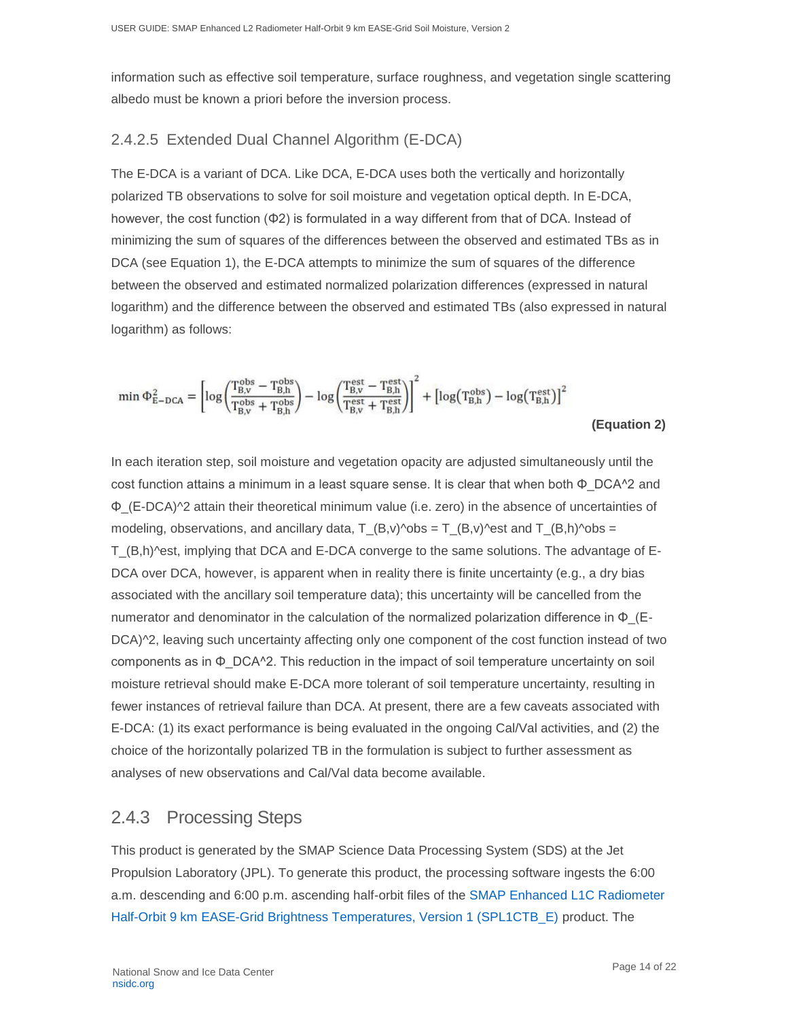information such as effective soil temperature, surface roughness, and vegetation single scattering albedo must be known a priori before the inversion process.

#### 2.4.2.5 Extended Dual Channel Algorithm (E-DCA)

The E-DCA is a variant of DCA. Like DCA, E-DCA uses both the vertically and horizontally polarized TB observations to solve for soil moisture and vegetation optical depth. In E-DCA, however, the cost function (Φ2) is formulated in a way different from that of DCA. Instead of minimizing the sum of squares of the differences between the observed and estimated TBs as in DCA (see Equation 1), the E-DCA attempts to minimize the sum of squares of the difference between the observed and estimated normalized polarization differences (expressed in natural logarithm) and the difference between the observed and estimated TBs (also expressed in natural logarithm) as follows:

$$
\min\Phi_{E-{\rm DCA}}^2 = \left[\log\!\left(\!\frac{T_{B,v}^{\rm obs} - T_{B,h}^{\rm obs}}{T_{B,v}^{\rm obs} + T_{B,h}^{\rm obs}}\!\right)\! - \log\!\left(\!\frac{T_{B,v}^{\rm est} - T_{B,h}^{\rm est}}{T_{B,v}^{\rm est} + T_{B,h}^{\rm est}}\!\right)\!\right]^2 + \left[\log\!\left(T_{B,h}^{\rm obs}\right)\! - \log\!\left(T_{B,h}^{\rm est}\right)\right]^2
$$

 **(Equation 2)**

In each iteration step, soil moisture and vegetation opacity are adjusted simultaneously until the cost function attains a minimum in a least square sense. It is clear that when both Φ\_DCA^2 and Φ\_(E-DCA)^2 attain their theoretical minimum value (i.e. zero) in the absence of uncertainties of modeling, observations, and ancillary data,  $T_{\text{B,v}}$  obs =  $T_{\text{B,v}}$  and  $T_{\text{B,v}}$  and  $T_{\text{B,v}}$  and  $T_{\text{B,v}}$ T\_(B,h)^est, implying that DCA and E-DCA converge to the same solutions. The advantage of E-DCA over DCA, however, is apparent when in reality there is finite uncertainty (e.g., a dry bias associated with the ancillary soil temperature data); this uncertainty will be cancelled from the numerator and denominator in the calculation of the normalized polarization difference in  $\Phi$  (E-DCA $\alpha$ 2, leaving such uncertainty affecting only one component of the cost function instead of two components as in  $\Phi$  DCA $^{\wedge}2$ . This reduction in the impact of soil temperature uncertainty on soil moisture retrieval should make E-DCA more tolerant of soil temperature uncertainty, resulting in fewer instances of retrieval failure than DCA. At present, there are a few caveats associated with E-DCA: (1) its exact performance is being evaluated in the ongoing Cal/Val activities, and (2) the choice of the horizontally polarized TB in the formulation is subject to further assessment as analyses of new observations and Cal/Val data become available.

### <span id="page-14-0"></span>2.4.3 Processing Steps

This product is generated by the SMAP Science Data Processing System (SDS) at the Jet Propulsion Laboratory (JPL). To generate this product, the processing software ingests the 6:00 a.m. descending and 6:00 p.m. ascending half-orbit files of the [SMAP Enhanced L1C Radiometer](http://nsidc.org/data/spl1ctb_e/versions/2/)  Half-Orbit 9 km EASE-Grid Brightness Temperatures, Version 1 (SPL1CTB E) product. The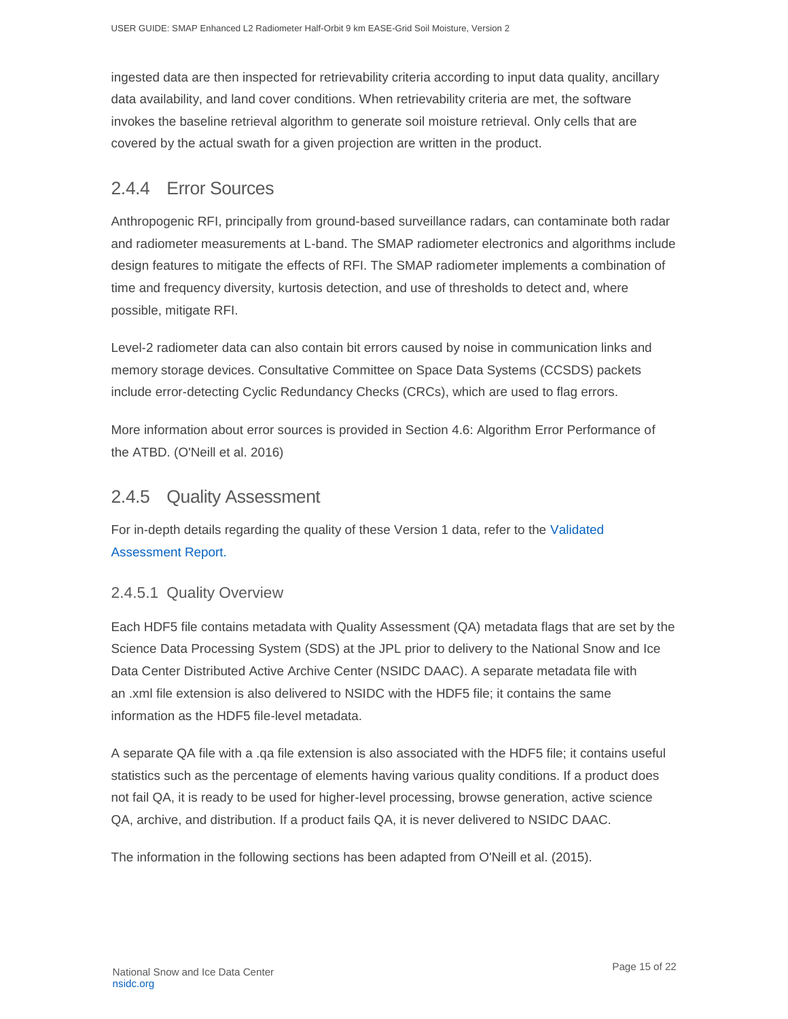ingested data are then inspected for retrievability criteria according to input data quality, ancillary data availability, and land cover conditions. When retrievability criteria are met, the software invokes the baseline retrieval algorithm to generate soil moisture retrieval. Only cells that are covered by the actual swath for a given projection are written in the product.

### <span id="page-15-0"></span>2.4.4 Error Sources

Anthropogenic RFI, principally from ground-based surveillance radars, can contaminate both radar and radiometer measurements at L-band. The SMAP radiometer electronics and algorithms include design features to mitigate the effects of RFI. The SMAP radiometer implements a combination of time and frequency diversity, kurtosis detection, and use of thresholds to detect and, where possible, mitigate RFI.

Level-2 radiometer data can also contain bit errors caused by noise in communication links and memory storage devices. Consultative Committee on Space Data Systems (CCSDS) packets include error-detecting Cyclic Redundancy Checks (CRCs), which are used to flag errors.

More information about error sources is provided in Section 4.6: Algorithm Error Performance of the ATBD. (O'Neill et al. 2016)

### <span id="page-15-1"></span>2.4.5 Quality Assessment

For in-depth details regarding the quality of these Version 1 data, refer to the [Validated](https://nsidc.org/sites/nsidc.org/files/technical-references/D56297%20SMAP%20L2_SM_P_E%20Assessment%20Report%20v2.pdf)  [Assessment Report.](https://nsidc.org/sites/nsidc.org/files/technical-references/D56297%20SMAP%20L2_SM_P_E%20Assessment%20Report%20v2.pdf)

#### 2.4.5.1 Quality Overview

Each HDF5 file contains metadata with Quality Assessment (QA) metadata flags that are set by the Science Data Processing System (SDS) at the JPL prior to delivery to the National Snow and Ice Data Center Distributed Active Archive Center (NSIDC DAAC). A separate metadata file with an .xml file extension is also delivered to NSIDC with the HDF5 file; it contains the same information as the HDF5 file-level metadata.

A separate QA file with a .qa file extension is also associated with the HDF5 file; it contains useful statistics such as the percentage of elements having various quality conditions. If a product does not fail QA, it is ready to be used for higher-level processing, browse generation, active science QA, archive, and distribution. If a product fails QA, it is never delivered to NSIDC DAAC.

The information in the following sections has been adapted from O'Neill et al. (2015).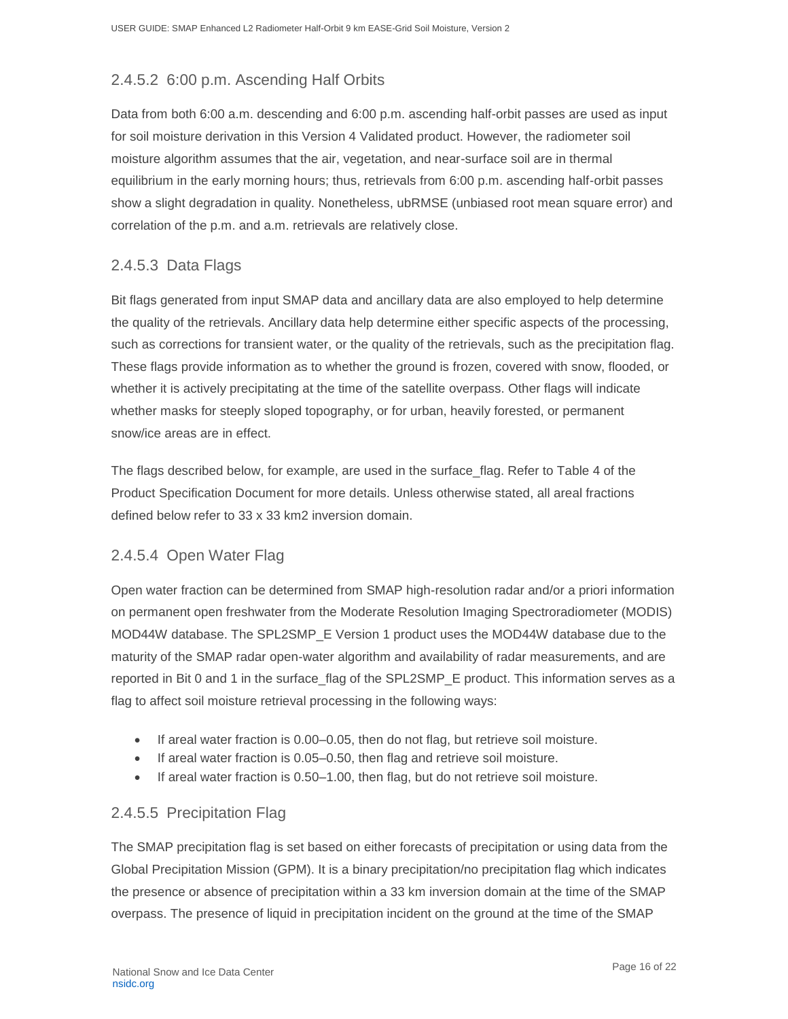### 2.4.5.2 6:00 p.m. Ascending Half Orbits

Data from both 6:00 a.m. descending and 6:00 p.m. ascending half-orbit passes are used as input for soil moisture derivation in this Version 4 Validated product. However, the radiometer soil moisture algorithm assumes that the air, vegetation, and near-surface soil are in thermal equilibrium in the early morning hours; thus, retrievals from 6:00 p.m. ascending half-orbit passes show a slight degradation in quality. Nonetheless, ubRMSE (unbiased root mean square error) and correlation of the p.m. and a.m. retrievals are relatively close.

#### 2.4.5.3 Data Flags

Bit flags generated from input SMAP data and ancillary data are also employed to help determine the quality of the retrievals. Ancillary data help determine either specific aspects of the processing, such as corrections for transient water, or the quality of the retrievals, such as the precipitation flag. These flags provide information as to whether the ground is frozen, covered with snow, flooded, or whether it is actively precipitating at the time of the satellite overpass. Other flags will indicate whether masks for steeply sloped topography, or for urban, heavily forested, or permanent snow/ice areas are in effect.

The flags described below, for example, are used in the surface\_flag. Refer to Table 4 of the Product Specification Document for more details. Unless otherwise stated, all areal fractions defined below refer to 33 x 33 km2 inversion domain.

#### 2.4.5.4 Open Water Flag

Open water fraction can be determined from SMAP high-resolution radar and/or a priori information on permanent open freshwater from the Moderate Resolution Imaging Spectroradiometer (MODIS) MOD44W database. The SPL2SMP\_E Version 1 product uses the MOD44W database due to the maturity of the SMAP radar open-water algorithm and availability of radar measurements, and are reported in Bit 0 and 1 in the surface\_flag of the SPL2SMP\_E product. This information serves as a flag to affect soil moisture retrieval processing in the following ways:

- If areal water fraction is 0.00–0.05, then do not flag, but retrieve soil moisture.
- If areal water fraction is 0.05–0.50, then flag and retrieve soil moisture.
- If areal water fraction is 0.50–1.00, then flag, but do not retrieve soil moisture.

#### 2.4.5.5 Precipitation Flag

The SMAP precipitation flag is set based on either forecasts of precipitation or using data from the Global Precipitation Mission (GPM). It is a binary precipitation/no precipitation flag which indicates the presence or absence of precipitation within a 33 km inversion domain at the time of the SMAP overpass. The presence of liquid in precipitation incident on the ground at the time of the SMAP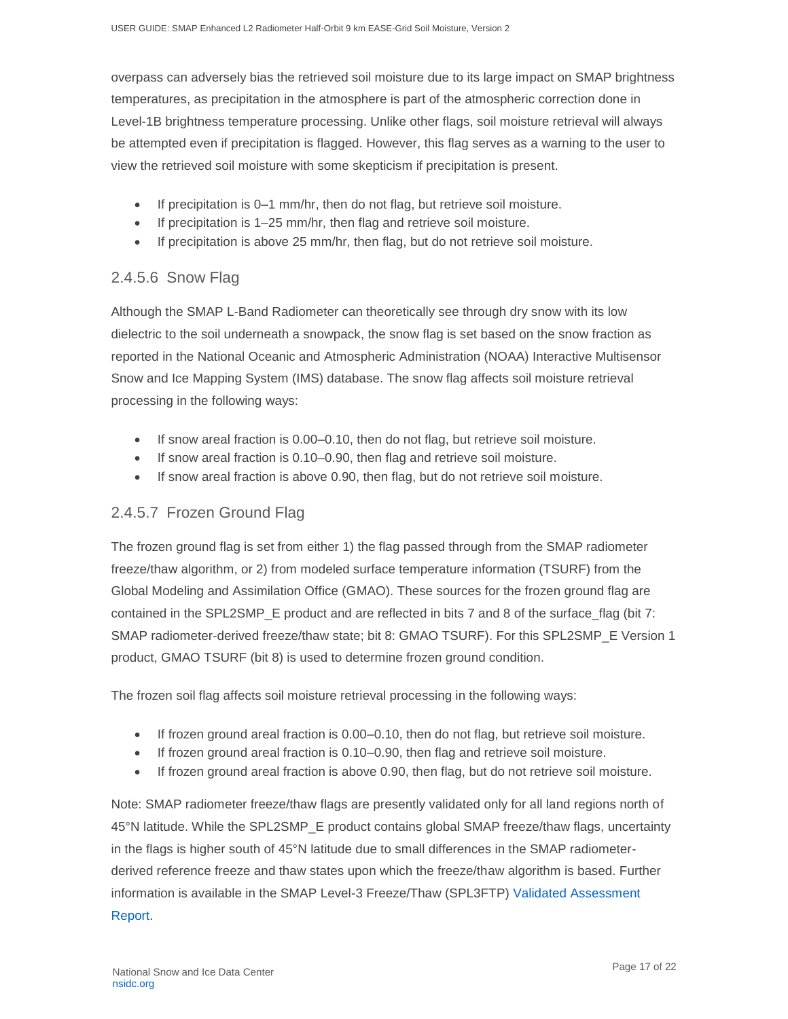overpass can adversely bias the retrieved soil moisture due to its large impact on SMAP brightness temperatures, as precipitation in the atmosphere is part of the atmospheric correction done in Level-1B brightness temperature processing. Unlike other flags, soil moisture retrieval will always be attempted even if precipitation is flagged. However, this flag serves as a warning to the user to view the retrieved soil moisture with some skepticism if precipitation is present.

- If precipitation is 0–1 mm/hr, then do not flag, but retrieve soil moisture.
- If precipitation is 1–25 mm/hr, then flag and retrieve soil moisture.
- If precipitation is above 25 mm/hr, then flag, but do not retrieve soil moisture.

#### 2.4.5.6 Snow Flag

Although the SMAP L-Band Radiometer can theoretically see through dry snow with its low dielectric to the soil underneath a snowpack, the snow flag is set based on the snow fraction as reported in the National Oceanic and Atmospheric Administration (NOAA) Interactive Multisensor Snow and Ice Mapping System (IMS) database. The snow flag affects soil moisture retrieval processing in the following ways:

- If snow areal fraction is 0.00–0.10, then do not flag, but retrieve soil moisture.
- If snow areal fraction is 0.10–0.90, then flag and retrieve soil moisture.
- If snow areal fraction is above 0.90, then flag, but do not retrieve soil moisture.

#### 2.4.5.7 Frozen Ground Flag

The frozen ground flag is set from either 1) the flag passed through from the SMAP radiometer freeze/thaw algorithm, or 2) from modeled surface temperature information (TSURF) from the Global Modeling and Assimilation Office (GMAO). These sources for the frozen ground flag are contained in the SPL2SMP\_E product and are reflected in bits 7 and 8 of the surface\_flag (bit 7: SMAP radiometer-derived freeze/thaw state; bit 8: GMAO TSURF). For this SPL2SMP\_E Version 1 product, GMAO TSURF (bit 8) is used to determine frozen ground condition.

The frozen soil flag affects soil moisture retrieval processing in the following ways:

- If frozen ground areal fraction is 0.00–0.10, then do not flag, but retrieve soil moisture.
- If frozen ground areal fraction is 0.10–0.90, then flag and retrieve soil moisture.
- If frozen ground areal fraction is above 0.90, then flag, but do not retrieve soil moisture.

Note: SMAP radiometer freeze/thaw flags are presently validated only for all land regions north of 45°N latitude. While the SPL2SMP\_E product contains global SMAP freeze/thaw flags, uncertainty in the flags is higher south of 45°N latitude due to small differences in the SMAP radiometerderived reference freeze and thaw states upon which the freeze/thaw algorithm is based. Further information is available in the SMAP Level-3 Freeze/Thaw (SPL3FTP) [Validated Assessment](https://nsidc.org/sites/nsidc.org/files/files/SMAP%20L3_FT_P%5BE%5D%20Assessment%20Report%20v7.pdf)  [Report.](https://nsidc.org/sites/nsidc.org/files/files/SMAP%20L3_FT_P%5BE%5D%20Assessment%20Report%20v7.pdf)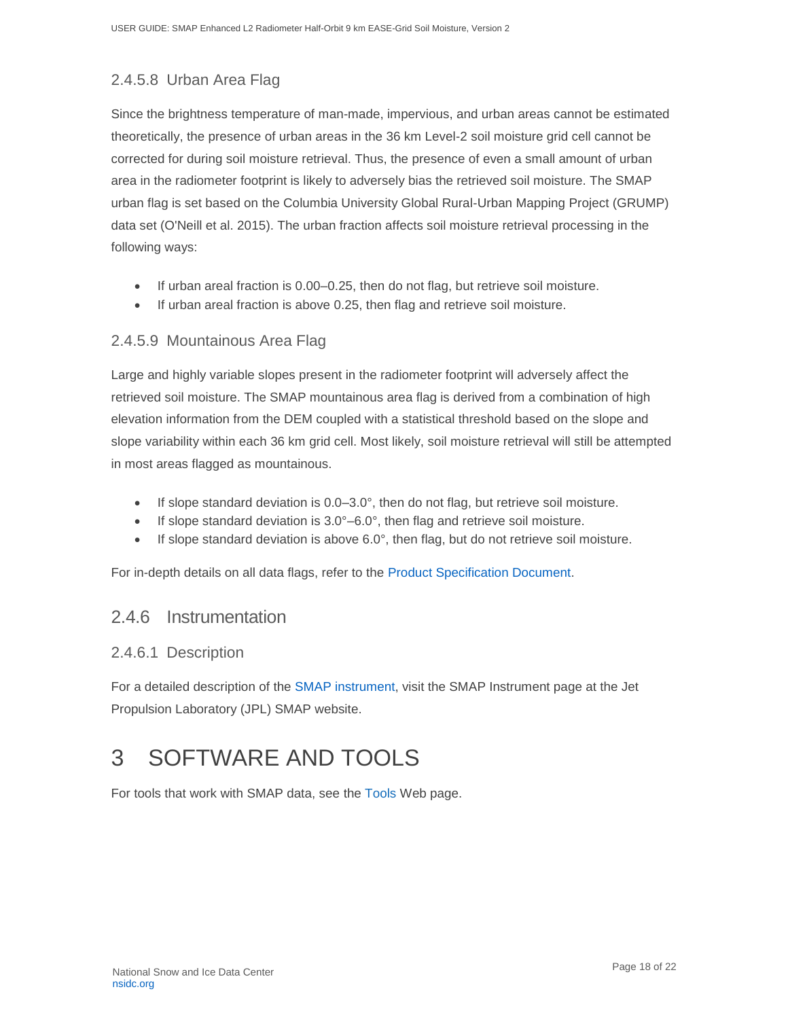### 2.4.5.8 Urban Area Flag

Since the brightness temperature of man-made, impervious, and urban areas cannot be estimated theoretically, the presence of urban areas in the 36 km Level-2 soil moisture grid cell cannot be corrected for during soil moisture retrieval. Thus, the presence of even a small amount of urban area in the radiometer footprint is likely to adversely bias the retrieved soil moisture. The SMAP urban flag is set based on the Columbia University Global Rural-Urban Mapping Project (GRUMP) data set (O'Neill et al. 2015). The urban fraction affects soil moisture retrieval processing in the following ways:

- If urban areal fraction is 0.00–0.25, then do not flag, but retrieve soil moisture.
- If urban areal fraction is above 0.25, then flag and retrieve soil moisture.

#### 2.4.5.9 Mountainous Area Flag

Large and highly variable slopes present in the radiometer footprint will adversely affect the retrieved soil moisture. The SMAP mountainous area flag is derived from a combination of high elevation information from the DEM coupled with a statistical threshold based on the slope and slope variability within each 36 km grid cell. Most likely, soil moisture retrieval will still be attempted in most areas flagged as mountainous.

- If slope standard deviation is 0.0–3.0°, then do not flag, but retrieve soil moisture.
- If slope standard deviation is  $3.0^{\circ}$  –6.0°, then flag and retrieve soil moisture.
- If slope standard deviation is above 6.0°, then flag, but do not retrieve soil moisture.

For in-depth details on all data flags, refer to the [Product Specification Document.](https://nsidc.org/sites/nsidc.org/files/technical-references/D56291%20SMAP%20L2_SM_P_E%20PSD%20Version%201.pdf)

#### <span id="page-18-0"></span>2.4.6 Instrumentation

#### 2.4.6.1 Description

For a detailed description of the [SMAP instrument,](http://smap.jpl.nasa.gov/observatory/instrument/?_ga=2.183279459.451976197.1604427624-1178120269.1525111477) visit the SMAP Instrument page at the Jet Propulsion Laboratory (JPL) SMAP website.

# <span id="page-18-1"></span>3 SOFTWARE AND TOOLS

For tools that work with SMAP data, see the [Tools](http://nsidc.org/data/smap/tools) Web page.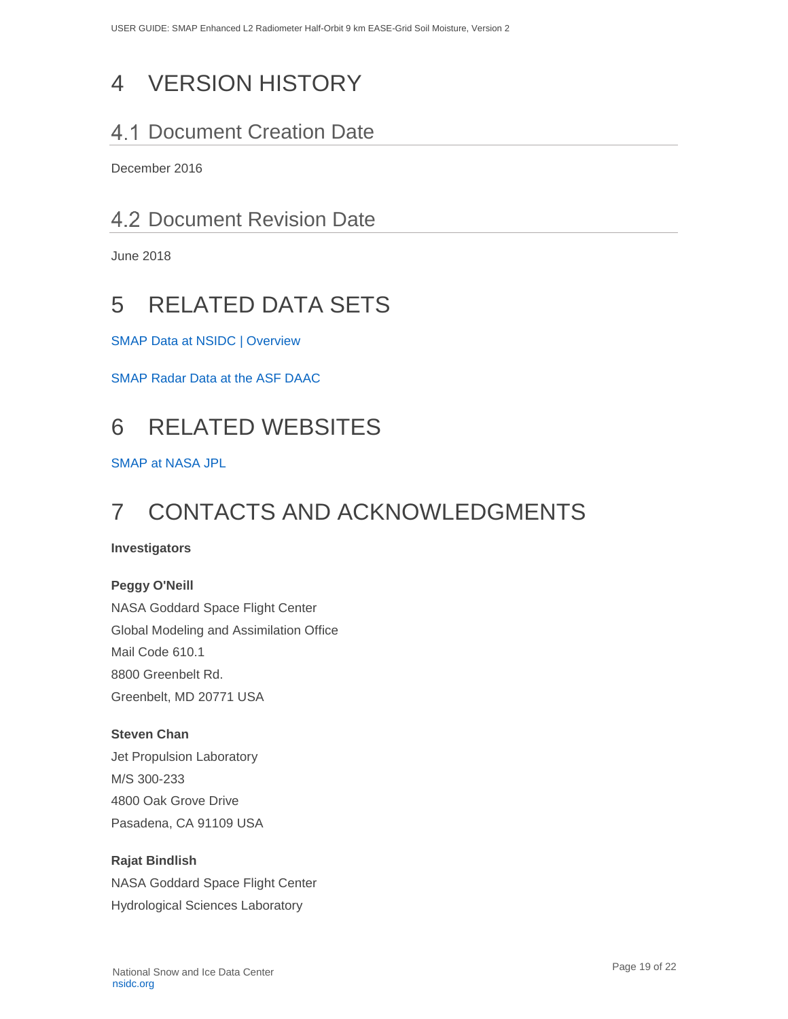# <span id="page-19-0"></span>4 VERSION HISTORY

# <span id="page-19-1"></span>4.1 Document Creation Date

December 2016

# <span id="page-19-2"></span>4.2 Document Revision Date

June 2018

# <span id="page-19-3"></span>5 RELATED DATA SETS

[SMAP Data at NSIDC | Overview](https://nsidc.org/data/smap/spl1ctb/data-fields)

[SMAP Radar Data at the ASF DAAC](https://www.asf.alaska.edu/smap/?_ga=2.183279459.451976197.1604427624-1178120269.1525111477)

# <span id="page-19-4"></span>6 RELATED WEBSITES

[SMAP at NASA JPL](https://smap.jpl.nasa.gov/?_ga=2.82532307.451976197.1604427624-1178120269.1525111477)

# <span id="page-19-5"></span>7 CONTACTS AND ACKNOWLEDGMENTS

#### **Investigators**

#### **Peggy O'Neill**

NASA Goddard Space Flight Center Global Modeling and Assimilation Office Mail Code 610.1 8800 Greenbelt Rd. Greenbelt, MD 20771 USA

#### **Steven Chan**

Jet Propulsion Laboratory M/S 300-233 4800 Oak Grove Drive Pasadena, CA 91109 USA

#### **Rajat Bindlish**

NASA Goddard Space Flight Center Hydrological Sciences Laboratory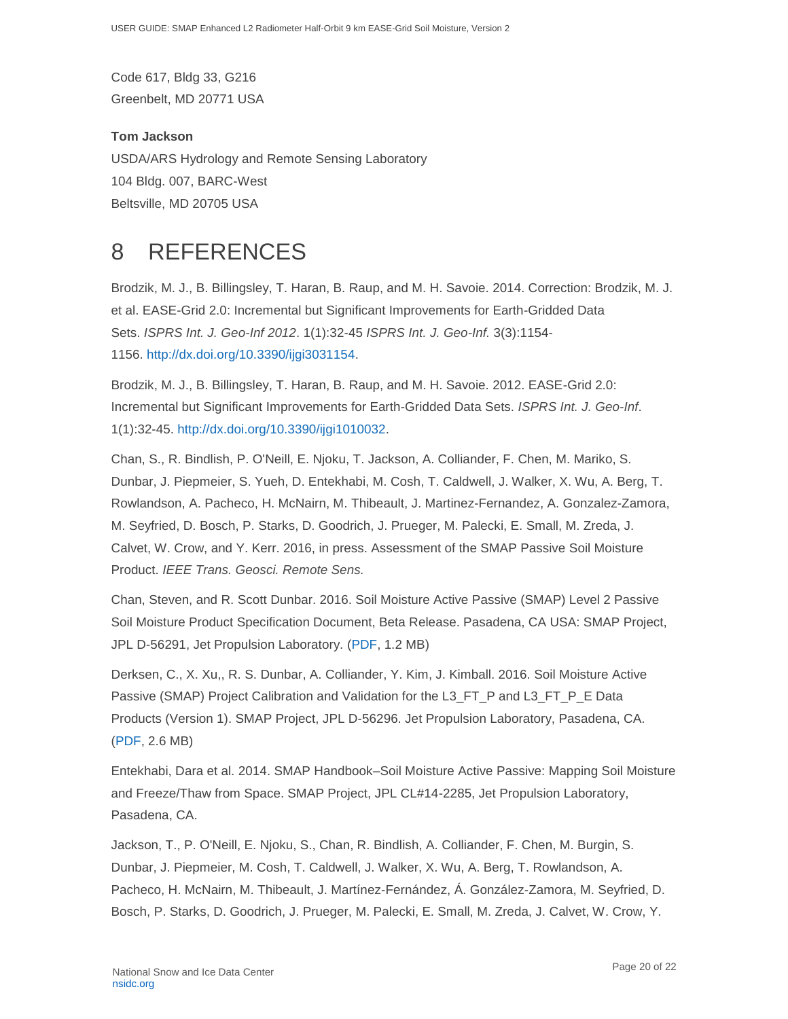Code 617, Bldg 33, G216 Greenbelt, MD 20771 USA

#### **Tom Jackson**

USDA/ARS Hydrology and Remote Sensing Laboratory 104 Bldg. 007, BARC-West Beltsville, MD 20705 USA

# <span id="page-20-0"></span>8 REFERENCES

Brodzik, M. J., B. Billingsley, T. Haran, B. Raup, and M. H. Savoie. 2014. Correction: Brodzik, M. J. et al. EASE-Grid 2.0: Incremental but Significant Improvements for Earth-Gridded Data Sets. *ISPRS Int. J. Geo-Inf 2012*. 1(1):32-45 *ISPRS Int. J. Geo-Inf.* 3(3):1154- 1156. [http://dx.doi.org/10.3390/ijgi3031154.](http://dx.doi.org/10.3390/ijgi3031154)

Brodzik, M. J., B. Billingsley, T. Haran, B. Raup, and M. H. Savoie. 2012. EASE-Grid 2.0: Incremental but Significant Improvements for Earth-Gridded Data Sets. *ISPRS Int. J. Geo-Inf*. 1(1):32-45. [http://dx.doi.org/10.3390/ijgi1010032.](http://dx.doi.org/10.3390/ijgi1010032)

Chan, S., R. Bindlish, P. O'Neill, E. Njoku, T. Jackson, A. Colliander, F. Chen, M. Mariko, S. Dunbar, J. Piepmeier, S. Yueh, D. Entekhabi, M. Cosh, T. Caldwell, J. Walker, X. Wu, A. Berg, T. Rowlandson, A. Pacheco, H. McNairn, M. Thibeault, J. Martinez-Fernandez, A. Gonzalez-Zamora, M. Seyfried, D. Bosch, P. Starks, D. Goodrich, J. Prueger, M. Palecki, E. Small, M. Zreda, J. Calvet, W. Crow, and Y. Kerr. 2016, in press. Assessment of the SMAP Passive Soil Moisture Product. *IEEE Trans. Geosci. Remote Sens.*

Chan, Steven, and R. Scott Dunbar. 2016. Soil Moisture Active Passive (SMAP) Level 2 Passive Soil Moisture Product Specification Document, Beta Release. Pasadena, CA USA: SMAP Project, JPL D-56291, Jet Propulsion Laboratory. [\(PDF,](https://nsidc.org/sites/nsidc.org/files/files/D56291%20SMAP%20L2_SM_P_E%20PSD%20Version%201.pdf) 1.2 MB)

Derksen, C., X. Xu,, R. S. Dunbar, A. Colliander, Y. Kim, J. Kimball. 2016. Soil Moisture Active Passive (SMAP) Project Calibration and Validation for the L3\_FT\_P and L3\_FT\_P\_E Data Products (Version 1). SMAP Project, JPL D-56296. Jet Propulsion Laboratory, Pasadena, CA. [\(PDF,](https://nsidc.org/sites/nsidc.org/files/files/SMAP%20L3_FT_P%5BE%5D%20Assessment%20Report%20v7.pdf) 2.6 MB)

Entekhabi, Dara et al. 2014. SMAP Handbook–Soil Moisture Active Passive: Mapping Soil Moisture and Freeze/Thaw from Space. SMAP Project, JPL CL#14-2285, Jet Propulsion Laboratory, Pasadena, CA.

Jackson, T., P. O'Neill, E. Njoku, S., Chan, R. Bindlish, A. Colliander, F. Chen, M. Burgin, S. Dunbar, J. Piepmeier, M. Cosh, T. Caldwell, J. Walker, X. Wu, A. Berg, T. Rowlandson, A. Pacheco, H. McNairn, M. Thibeault, J. Martínez-Fernández, Á. González-Zamora, M. Seyfried, D. Bosch, P. Starks, D. Goodrich, J. Prueger, M. Palecki, E. Small, M. Zreda, J. Calvet, W. Crow, Y.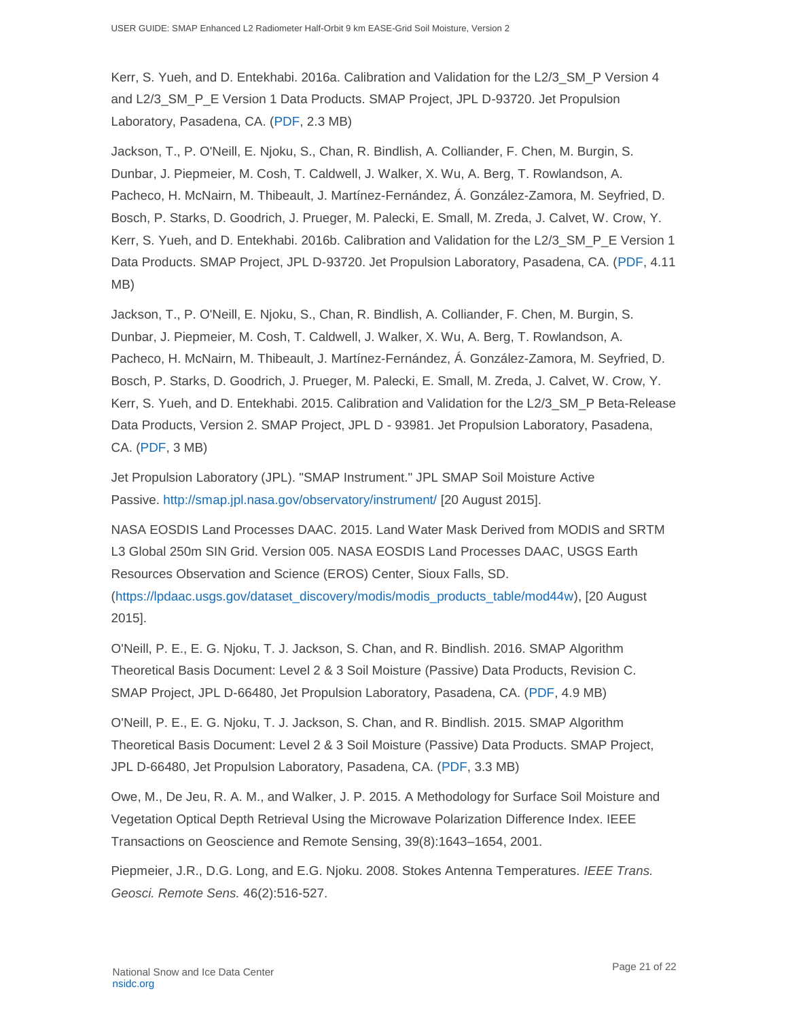Kerr, S. Yueh, and D. Entekhabi. 2016a. Calibration and Validation for the L2/3\_SM\_P Version 4 and L2/3\_SM\_P\_E Version 1 Data Products. SMAP Project, JPL D-93720. Jet Propulsion Laboratory, Pasadena, CA. [\(PDF,](https://nsidc.org/sites/nsidc.org/files/files/D56297%20SMAP%20L2_SM_P_E%20Assessment%20Report.pdf) 2.3 MB)

Jackson, T., P. O'Neill, E. Njoku, S., Chan, R. Bindlish, A. Colliander, F. Chen, M. Burgin, S. Dunbar, J. Piepmeier, M. Cosh, T. Caldwell, J. Walker, X. Wu, A. Berg, T. Rowlandson, A. Pacheco, H. McNairn, M. Thibeault, J. Martínez-Fernández, Á. González-Zamora, M. Seyfried, D. Bosch, P. Starks, D. Goodrich, J. Prueger, M. Palecki, E. Small, M. Zreda, J. Calvet, W. Crow, Y. Kerr, S. Yueh, and D. Entekhabi. 2016b. Calibration and Validation for the L2/3\_SM\_P\_E Version 1 Data Products. SMAP Project, JPL D-93720. Jet Propulsion Laboratory, Pasadena, CA. [\(PDF,](https://nsidc.org/sites/nsidc.org/files/files/L2SMP%20Version%203%20Report%20(FINAL)2.pdf) 4.11 MB)

Jackson, T., P. O'Neill, E. Njoku, S., Chan, R. Bindlish, A. Colliander, F. Chen, M. Burgin, S. Dunbar, J. Piepmeier, M. Cosh, T. Caldwell, J. Walker, X. Wu, A. Berg, T. Rowlandson, A. Pacheco, H. McNairn, M. Thibeault, J. Martínez-Fernández, Á. González-Zamora, M. Seyfried, D. Bosch, P. Starks, D. Goodrich, J. Prueger, M. Palecki, E. Small, M. Zreda, J. Calvet, W. Crow, Y. Kerr, S. Yueh, and D. Entekhabi. 2015. Calibration and Validation for the L2/3\_SM\_P Beta-Release Data Products, Version 2. SMAP Project, JPL D - 93981. Jet Propulsion Laboratory, Pasadena, CA. [\(PDF,](https://nsidc.org/sites/nsidc.org/files/files/SMAP%2520L2_SM_P%2520Beta-Level%2520Assessment%2520Report%2520FINAL%5B1%5D.pdf) 3 MB)

Jet Propulsion Laboratory (JPL). "SMAP Instrument." JPL SMAP Soil Moisture Active Passive. <http://smap.jpl.nasa.gov/observatory/instrument/> [20 August 2015].

NASA EOSDIS Land Processes DAAC. 2015. Land Water Mask Derived from MODIS and SRTM L3 Global 250m SIN Grid. Version 005. NASA EOSDIS Land Processes DAAC, USGS Earth Resources Observation and Science (EROS) Center, Sioux Falls, SD. [\(https://lpdaac.usgs.gov/dataset\\_discovery/modis/modis\\_products\\_table/mod44w\)](https://lpdaac.usgs.gov/dataset_discovery/modis/modis_products_table/mod44w), [20 August 2015].

O'Neill, P. E., E. G. Njoku, T. J. Jackson, S. Chan, and R. Bindlish. 2016. SMAP Algorithm Theoretical Basis Document: Level 2 & 3 Soil Moisture (Passive) Data Products, Revision C. SMAP Project, JPL D-66480, Jet Propulsion Laboratory, Pasadena, CA. [\(PDF,](https://nsidc.org/sites/nsidc.org/files/files/L2_SM_P_ATBD_revision_C_Dec2016_v2.docx) 4.9 MB)

O'Neill, P. E., E. G. Njoku, T. J. Jackson, S. Chan, and R. Bindlish. 2015. SMAP Algorithm Theoretical Basis Document: Level 2 & 3 Soil Moisture (Passive) Data Products. SMAP Project, JPL D-66480, Jet Propulsion Laboratory, Pasadena, CA. [\(PDF,](https://nsidc.org/sites/nsidc.org/files/files/L2_SM_P_ATBD_v7_Sep2015-po-en%5B1%5D.pdf) 3.3 MB)

Owe, M., De Jeu, R. A. M., and Walker, J. P. 2015. A Methodology for Surface Soil Moisture and Vegetation Optical Depth Retrieval Using the Microwave Polarization Difference Index. IEEE Transactions on Geoscience and Remote Sensing, 39(8):1643–1654, 2001.

Piepmeier, J.R., D.G. Long, and E.G. Njoku. 2008. Stokes Antenna Temperatures. *IEEE Trans. Geosci. Remote Sens.* 46(2):516-527.